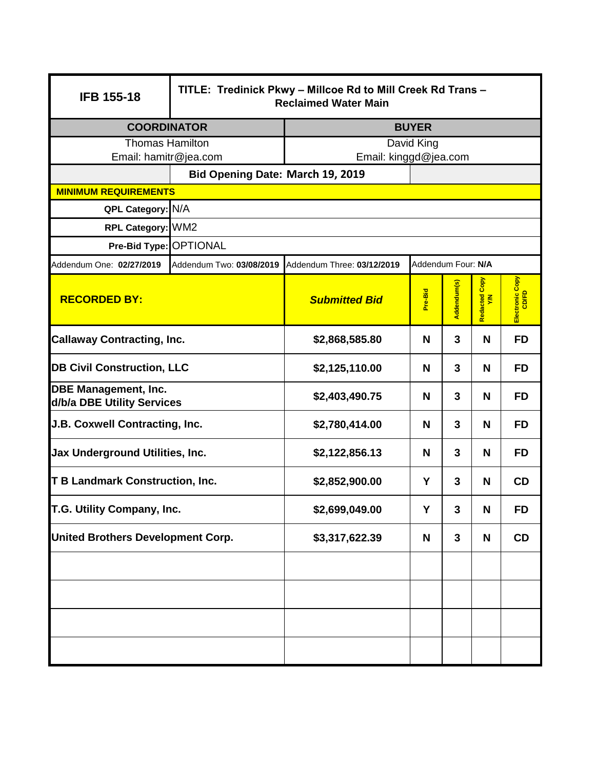| <b>IFB 155-18</b>                                         | TITLE: Tredinick Pkwy - Millcoe Rd to Mill Creek Rd Trans -<br><b>Reclaimed Water Main</b> |                            |                    |             |                    |                          |  |  |  |  |
|-----------------------------------------------------------|--------------------------------------------------------------------------------------------|----------------------------|--------------------|-------------|--------------------|--------------------------|--|--|--|--|
| <b>COORDINATOR</b>                                        |                                                                                            | <b>BUYER</b>               |                    |             |                    |                          |  |  |  |  |
| <b>Thomas Hamilton</b>                                    |                                                                                            | David King                 |                    |             |                    |                          |  |  |  |  |
| Email: hamitr@jea.com                                     |                                                                                            | Email: kinggd@jea.com      |                    |             |                    |                          |  |  |  |  |
|                                                           | Bid Opening Date: March 19, 2019                                                           |                            |                    |             |                    |                          |  |  |  |  |
| <b>MINIMUM REQUIREMENTS</b>                               |                                                                                            |                            |                    |             |                    |                          |  |  |  |  |
| QPL Category: N/A                                         |                                                                                            |                            |                    |             |                    |                          |  |  |  |  |
| RPL Category: WM2                                         |                                                                                            |                            |                    |             |                    |                          |  |  |  |  |
|                                                           | Pre-Bid Type: OPTIONAL                                                                     |                            |                    |             |                    |                          |  |  |  |  |
| Addendum One: 02/27/2019                                  | Addendum Two: 03/08/2019                                                                   | Addendum Three: 03/12/2019 | Addendum Four: N/A |             |                    |                          |  |  |  |  |
| <b>RECORDED BY:</b>                                       |                                                                                            | <b>Submitted Bid</b>       | Pre-Bid            | Addendum(s) | Copy<br>Redacted C | Electronic Copy<br>CD/FD |  |  |  |  |
| <b>Callaway Contracting, Inc.</b>                         |                                                                                            | \$2,868,585.80             | N                  | 3           | N                  | <b>FD</b>                |  |  |  |  |
| <b>DB Civil Construction, LLC</b>                         |                                                                                            | \$2,125,110.00             | N                  | 3           | N                  | <b>FD</b>                |  |  |  |  |
| <b>DBE Management, Inc.</b><br>d/b/a DBE Utility Services |                                                                                            | \$2,403,490.75             | N                  | 3           | N                  | <b>FD</b>                |  |  |  |  |
| J.B. Coxwell Contracting, Inc.                            |                                                                                            | \$2,780,414.00             | N                  | 3           | N                  | <b>FD</b>                |  |  |  |  |
| Jax Underground Utilities, Inc.                           |                                                                                            | \$2,122,856.13             | N                  | 3           | N                  | <b>FD</b>                |  |  |  |  |
| <b>T B Landmark Construction, Inc.</b>                    |                                                                                            | \$2,852,900.00             | Y                  | 3           | N                  | <b>CD</b>                |  |  |  |  |
| T.G. Utility Company, Inc.                                |                                                                                            | \$2,699,049.00             | Y                  | 3           | N                  | <b>FD</b>                |  |  |  |  |
| <b>United Brothers Development Corp.</b>                  |                                                                                            | \$3,317,622.39             | N                  | 3           | N                  | CD                       |  |  |  |  |
|                                                           |                                                                                            |                            |                    |             |                    |                          |  |  |  |  |
|                                                           |                                                                                            |                            |                    |             |                    |                          |  |  |  |  |
|                                                           |                                                                                            |                            |                    |             |                    |                          |  |  |  |  |
|                                                           |                                                                                            |                            |                    |             |                    |                          |  |  |  |  |